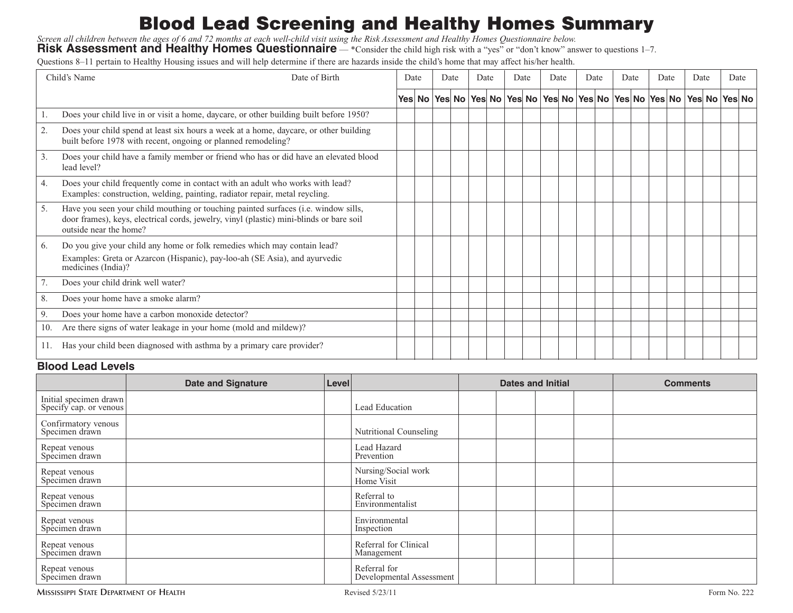# **Blood Lead Screening and Healthy Homes Summary**

Screen all children between the ages of 6 and 72 months at each well-child visit using the Risk Assessment and Healthy Homes Questionnaire below.

**Risk Assessment and Healthy Homes Questionnaire** — \*Consider the child high risk with a "yes" or "don't know" answer to questions 1–7.

Questions 8–11 pertain to Healthy Housing issues and will help determine if there are hazards inside the child's home that may affect his/her health.

| Date of Birth<br>Child's Name |                                                                                                                                                                                                         | Date |  | Date |  | Date |                                                                                     | Date |  | Date |  | Date |  | Date |  | Date |  | Date |  | Date |  |
|-------------------------------|---------------------------------------------------------------------------------------------------------------------------------------------------------------------------------------------------------|------|--|------|--|------|-------------------------------------------------------------------------------------|------|--|------|--|------|--|------|--|------|--|------|--|------|--|
|                               |                                                                                                                                                                                                         |      |  |      |  |      | Yes No Yes No Yes No Yes No Yes No Yes No Yes No Yes No Yes No Yes No Yes No Yes No |      |  |      |  |      |  |      |  |      |  |      |  |      |  |
| 1.                            | Does your child live in or visit a home, daycare, or other building built before 1950?                                                                                                                  |      |  |      |  |      |                                                                                     |      |  |      |  |      |  |      |  |      |  |      |  |      |  |
| 2.                            | Does your child spend at least six hours a week at a home, daycare, or other building<br>built before 1978 with recent, ongoing or planned remodeling?                                                  |      |  |      |  |      |                                                                                     |      |  |      |  |      |  |      |  |      |  |      |  |      |  |
| 3.                            | Does your child have a family member or friend who has or did have an elevated blood<br>lead level?                                                                                                     |      |  |      |  |      |                                                                                     |      |  |      |  |      |  |      |  |      |  |      |  |      |  |
| 4.                            | Does your child frequently come in contact with an adult who works with lead?<br>Examples: construction, welding, painting, radiator repair, metal reycling.                                            |      |  |      |  |      |                                                                                     |      |  |      |  |      |  |      |  |      |  |      |  |      |  |
| 5.                            | Have you seen your child mouthing or touching painted surfaces (i.e. window sills,<br>door frames), keys, electrical cords, jewelry, vinyl (plastic) mini-blinds or bare soil<br>outside near the home? |      |  |      |  |      |                                                                                     |      |  |      |  |      |  |      |  |      |  |      |  |      |  |
| 6.                            | Do you give your child any home or folk remedies which may contain lead?<br>Examples: Greta or Azarcon (Hispanic), pay-loo-ah (SE Asia), and ayurvedic<br>medicines (India)?                            |      |  |      |  |      |                                                                                     |      |  |      |  |      |  |      |  |      |  |      |  |      |  |
| 7.                            | Does your child drink well water?                                                                                                                                                                       |      |  |      |  |      |                                                                                     |      |  |      |  |      |  |      |  |      |  |      |  |      |  |
| 8.                            | Does your home have a smoke alarm?                                                                                                                                                                      |      |  |      |  |      |                                                                                     |      |  |      |  |      |  |      |  |      |  |      |  |      |  |
| 9.                            | Does your home have a carbon monoxide detector?                                                                                                                                                         |      |  |      |  |      |                                                                                     |      |  |      |  |      |  |      |  |      |  |      |  |      |  |
| 10.                           | Are there signs of water leakage in your home (mold and mildew)?                                                                                                                                        |      |  |      |  |      |                                                                                     |      |  |      |  |      |  |      |  |      |  |      |  |      |  |
|                               | Has your child been diagnosed with asthma by a primary care provider?                                                                                                                                   |      |  |      |  |      |                                                                                     |      |  |      |  |      |  |      |  |      |  |      |  |      |  |

#### **Blood Lead Levels**

|                                                  | <b>Date and Signature</b> | <b>Level</b> |                                          | <b>Dates and Initial</b> |  |  |  | <b>Comments</b> |  |  |  |
|--------------------------------------------------|---------------------------|--------------|------------------------------------------|--------------------------|--|--|--|-----------------|--|--|--|
| Initial specimen drawn<br>Specify cap. or venous |                           |              | Lead Education                           |                          |  |  |  |                 |  |  |  |
| Confirmatory venous<br>Specimen drawn            |                           |              | Nutritional Counseling                   |                          |  |  |  |                 |  |  |  |
| Repeat venous<br>Specimen drawn                  |                           |              | Lead Hazard<br>Prevention                |                          |  |  |  |                 |  |  |  |
| Repeat venous<br>Specimen drawn                  |                           |              | Nursing/Social work<br>Home Visit        |                          |  |  |  |                 |  |  |  |
| Repeat venous<br>Specimen drawn                  |                           |              | Referral to<br>Environmentalist          |                          |  |  |  |                 |  |  |  |
| Repeat venous<br>Specimen drawn                  |                           |              | Environmental<br>Inspection              |                          |  |  |  |                 |  |  |  |
| Repeat venous<br>Specimen drawn                  |                           |              | Referral for Clinical<br>Management      |                          |  |  |  |                 |  |  |  |
| Repeat venous<br>Specimen drawn                  |                           |              | Referral for<br>Developmental Assessment |                          |  |  |  |                 |  |  |  |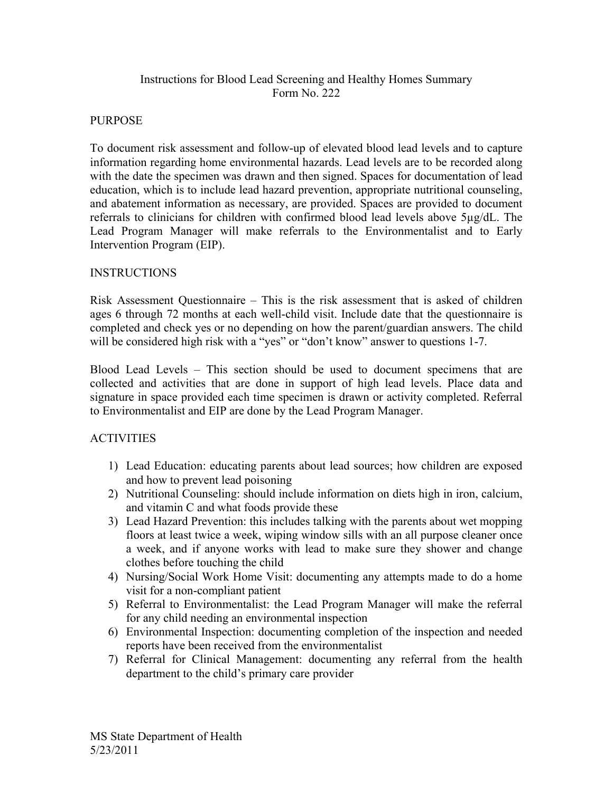## Instructions for Blood Lead Screening and Healthy Homes Summary Form No. 222

### PURPOSE

To document risk assessment and follow-up of elevated blood lead levels and to capture information regarding home environmental hazards. Lead levels are to be recorded along with the date the specimen was drawn and then signed. Spaces for documentation of lead education, which is to include lead hazard prevention, appropriate nutritional counseling, and abatement information as necessary, are provided. Spaces are provided to document referrals to clinicians for children with confirmed blood lead levels above 5µg/dL. The Lead Program Manager will make referrals to the Environmentalist and to Early Intervention Program (EIP).

### INSTRUCTIONS

Risk Assessment Questionnaire – This is the risk assessment that is asked of children ages 6 through 72 months at each well-child visit. Include date that the questionnaire is completed and check yes or no depending on how the parent/guardian answers. The child will be considered high risk with a "yes" or "don't know" answer to questions 1-7.

Blood Lead Levels – This section should be used to document specimens that are collected and activities that are done in support of high lead levels. Place data and signature in space provided each time specimen is drawn or activity completed. Referral to Environmentalist and EIP are done by the Lead Program Manager.

#### ACTIVITIES

- 1) Lead Education: educating parents about lead sources; how children are exposed and how to prevent lead poisoning
- 2) Nutritional Counseling: should include information on diets high in iron, calcium, and vitamin C and what foods provide these
- 3) Lead Hazard Prevention: this includes talking with the parents about wet mopping floors at least twice a week, wiping window sills with an all purpose cleaner once a week, and if anyone works with lead to make sure they shower and change clothes before touching the child
- 4) Nursing/Social Work Home Visit: documenting any attempts made to do a home visit for a non-compliant patient
- 5) Referral to Environmentalist: the Lead Program Manager will make the referral for any child needing an environmental inspection
- 6) Environmental Inspection: documenting completion of the inspection and needed reports have been received from the environmentalist
- 7) Referral for Clinical Management: documenting any referral from the health department to the child's primary care provider